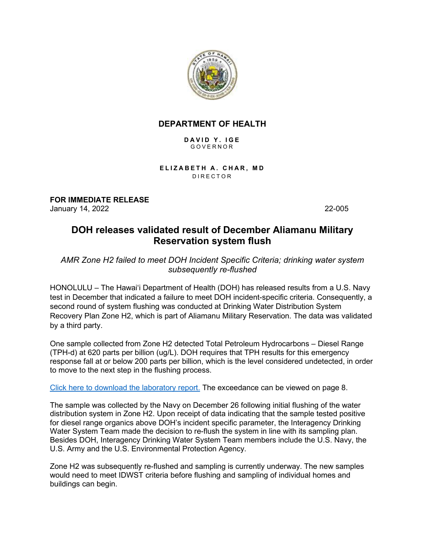

## **DEPARTMENT OF HEALTH**

**DAVID Y. IGE** GOVERNOR

**ELIZABETH A. CHAR, MD** DIRECTOR

**FOR IMMEDIATE RELEASE** January 14, 2022 22-005

## **DOH releases validated result of December Aliamanu Military Reservation system flush**

*AMR Zone H2 failed to meet DOH Incident Specific Criteria; drinking water system subsequently re-flushed*

HONOLULU – The Hawaiʻi Department of Health (DOH) has released results from a U.S. Navy test in December that indicated a failure to meet DOH incident-specific criteria. Consequently, a second round of system flushing was conducted at Drinking Water Distribution System Recovery Plan Zone H2, which is part of Aliamanu Military Reservation. The data was validated by a third party.

One sample collected from Zone H2 detected Total Petroleum Hydrocarbons – Diesel Range (TPH-d) at 620 parts per billion (ug/L). DOH requires that TPH results for this emergency response fall at or below 200 parts per billion, which is the level considered undetected, in order to move to the next step in the flushing process.

[Click here to download the laboratory report.](http://health.hawaii.gov/about/files/2022/01/EUT2_580_108818-2022-01-03-Zone-DW-Comp-TPH-H1-H2-H3.pdf) The exceedance can be viewed on page 8.

The sample was collected by the Navy on December 26 following initial flushing of the water distribution system in Zone H2. Upon receipt of data indicating that the sample tested positive for diesel range organics above DOH's incident specific parameter, the Interagency Drinking Water System Team made the decision to re-flush the system in line with its sampling plan. Besides DOH, Interagency Drinking Water System Team members include the U.S. Navy, the U.S. Army and the U.S. Environmental Protection Agency.

Zone H2 was subsequently re-flushed and sampling is currently underway. The new samples would need to meet IDWST criteria before flushing and sampling of individual homes and buildings can begin.